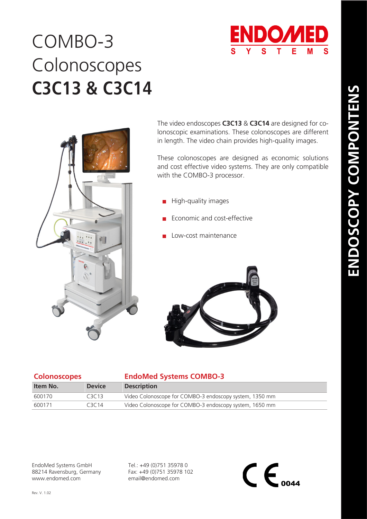

## COMBO-3 **C3C13 & C3C14** Colonoscopes



The video endoscopes **C3C13** & **C3C14** are designed for colonoscopic examinations. These colonoscopes are different in length. The video chain provides high-quality images.

These colonoscopes are designed as economic solutions and cost effective video systems. They are only compatible with the COMBO-3 processor.

- $\blacksquare$  High-quality images
- Economic and cost-effective
- Low-cost maintenance



| <b>Colonoscopes</b> |               | <b>EndoMed Systems COMBO-3</b>                          |  |
|---------------------|---------------|---------------------------------------------------------|--|
| Item No.            | <b>Device</b> | <b>Description</b>                                      |  |
| 600170              | C3C13         | Video Colonoscope for COMBO-3 endoscopy system, 1350 mm |  |
| 600171              | C3C14         | Video Colonoscope for COMBO-3 endoscopy system, 1650 mm |  |

EndoMed Systems GmbH 88214 Ravensburg, Germany www.endomed.com

Tel.: +49 (0)751 35978 0 Fax: +49 (0)751 35978 102 email@endomed.com

 $\mathsf{CE}_{\scriptscriptstyle{0044}}$